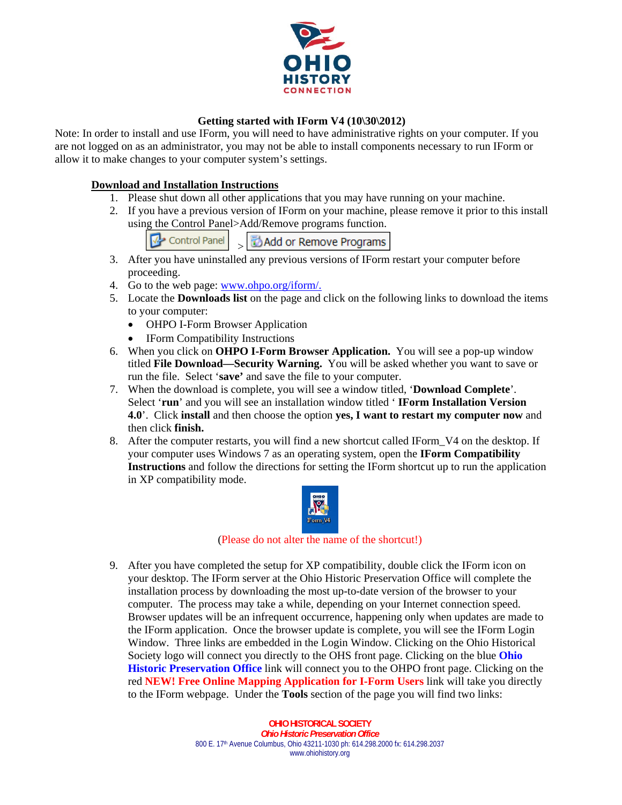

# **Getting started with IForm V4 (10\30\2012)**

Note: In order to install and use IForm, you will need to have administrative rights on your computer. If you are not logged on as an administrator, you may not be able to install components necessary to run IForm or allow it to make changes to your computer system's settings.

# **Download and Installation Instructions**

- 1. Please shut down all other applications that you may have running on your machine.
- 2. If you have a previous version of IForm on your machine, please remove it prior to this install using the Control Panel>Add/Remove programs function.
	- Control Panel Add or Remove Programs  $\rightarrow$
- 3. After you have uninstalled any previous versions of IForm restart your computer before proceeding.
- 4. Go to the web page: www.ohpo.org/iform/.
- 5. Locate the **Downloads list** on the page and click on the following links to download the items to your computer:
	- OHPO I-Form Browser Application
	- IForm Compatibility Instructions
- 6. When you click on **OHPO I-Form Browser Application.** You will see a pop-up window titled **File Download—Security Warning.** You will be asked whether you want to save or run the file. Select '**save'** and save the file to your computer.
- 7. When the download is complete, you will see a window titled, '**Download Complete**'. Select '**run**' and you will see an installation window titled ' **IForm Installation Version 4.0**'. Click **install** and then choose the option **yes, I want to restart my computer now** and then click **finish.**
- 8. After the computer restarts, you will find a new shortcut called IForm\_V4 on the desktop. If your computer uses Windows 7 as an operating system, open the **IForm Compatibility Instructions** and follow the directions for setting the IForm shortcut up to run the application in XP compatibility mode.



## (Please do not alter the name of the shortcut!)

9. After you have completed the setup for XP compatibility, double click the IForm icon on your desktop. The IForm server at the Ohio Historic Preservation Office will complete the installation process by downloading the most up-to-date version of the browser to your computer. The process may take a while, depending on your Internet connection speed. Browser updates will be an infrequent occurrence, happening only when updates are made to the IForm application. Once the browser update is complete, you will see the IForm Login Window. Three links are embedded in the Login Window. Clicking on the Ohio Historical Society logo will connect you directly to the OHS front page. Clicking on the blue **Ohio Historic Preservation Office** link will connect you to the OHPO front page. Clicking on the red **NEW! Free Online Mapping Application for I-Form Users** link will take you directly to the IForm webpage. Under the **Tools** section of the page you will find two links:

> **OHIO HISTORICAL SOCIETY**  *Ohio Historic Preservation Office* 800 E. 17<sup>th</sup> Avenue Columbus, Ohio 43211-1030 ph: 614.298.2000 fx: 614.298.2037 www.ohiohistory.org